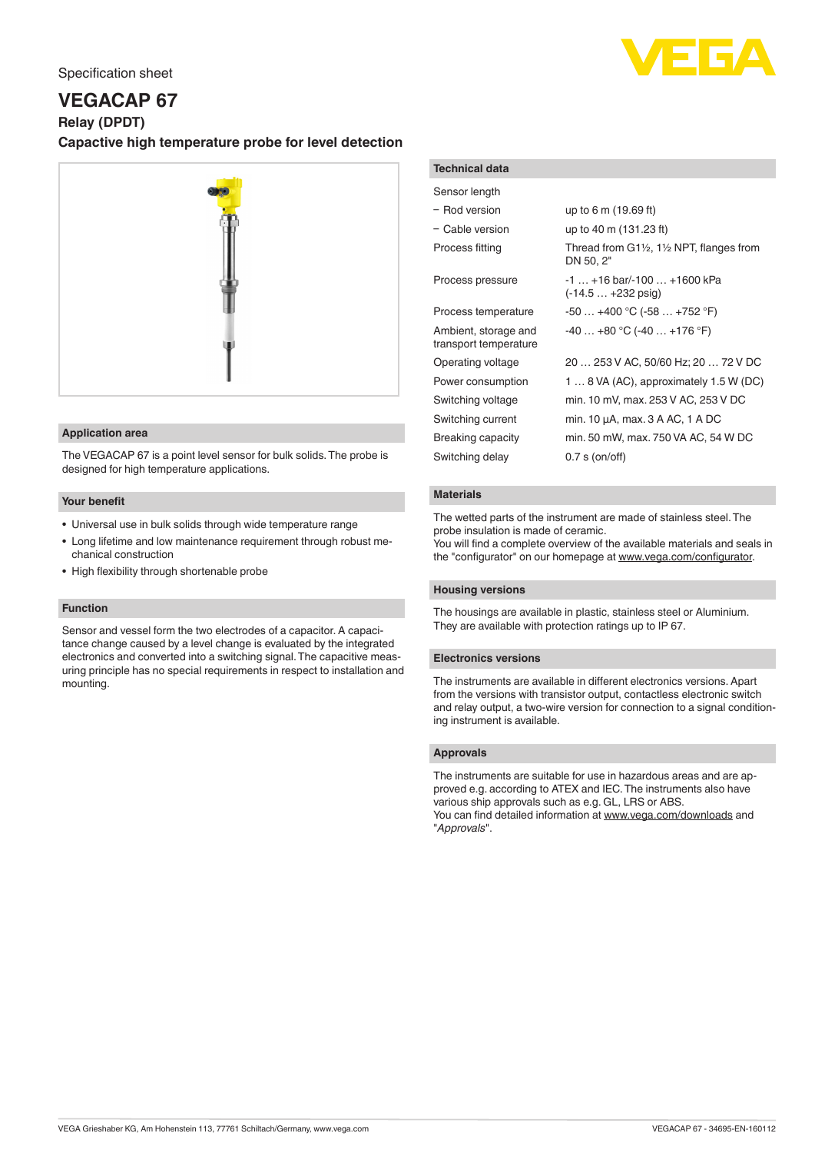## Specification sheet



# **VEGACAP 67**

**Relay (DPDT)**

# **Capactive high temperature probe for level detection**



#### **Application area**

The VEGACAP 67 is a point level sensor for bulk solids. The probe is designed for high temperature applications.

## **Your benefit**

- Universal use in bulk solids through wide temperature range
- Long lifetime and low maintenance requirement through robust mechanical construction
- High flexibility through shortenable probe

#### **Function**

Sensor and vessel form the two electrodes of a capacitor. A capacitance change caused by a level change is evaluated by the integrated electronics and converted into a switching signal. The capacitive measuring principle has no special requirements in respect to installation and mounting.

#### **Technical data**

| Sensor length                                 |                                                                              |
|-----------------------------------------------|------------------------------------------------------------------------------|
| - Rod version                                 | up to 6 m (19.69 ft)                                                         |
| - Cable version                               | up to 40 m (131.23 ft)                                                       |
| Process fitting                               | Thread from $G1\frac{1}{2}$ , 1 $\frac{1}{2}$ NPT, flanges from<br>DN 50, 2" |
| Process pressure                              | $-1$ $+16$ bar/ $-100$ $+1600$ kPa<br>$(-14.5 +232 \text{ psig})$            |
| Process temperature                           | $-50+400$ °C ( $-58+752$ °F)                                                 |
| Ambient, storage and<br>transport temperature | $-40+80$ °C (-40  +176 °F)                                                   |
| Operating voltage                             | 20  253 V AC, 50/60 Hz; 20  72 V DC                                          |
| Power consumption                             | 1 $\dots$ 8 VA (AC), approximately 1.5 W (DC)                                |
| Switching voltage                             | min. 10 mV, max. 253 V AC, 253 V DC                                          |
| Switching current                             | min. 10 μA, max. 3 A AC, 1 A DC                                              |
| Breaking capacity                             | min. 50 mW, max. 750 VA AC, 54 W DC                                          |
| Switching delay                               | $0.7$ s (on/off)                                                             |
|                                               |                                                                              |

#### **Materials**

The wetted parts of the instrument are made of stainless steel. The probe insulation is made of ceramic.

You will find a complete overview of the available materials and seals in the "configurator" on our homepage at [www.vega.com/configurator](http://www.vega.com/configurator).

## **Housing versions**

The housings are available in plastic, stainless steel or Aluminium. They are available with protection ratings up to IP 67.

#### **Electronics versions**

The instruments are available in different electronics versions. Apart from the versions with transistor output, contactless electronic switch and relay output, a two-wire version for connection to a signal conditioning instrument is available.

#### **Approvals**

The instruments are suitable for use in hazardous areas and are approved e.g. according to ATEX and IEC. The instruments also have various ship approvals such as e.g. GL, LRS or ABS. You can find detailed information at [www.vega.com/downloads](http://www.vega.com/downloads) and "*Approvals*".